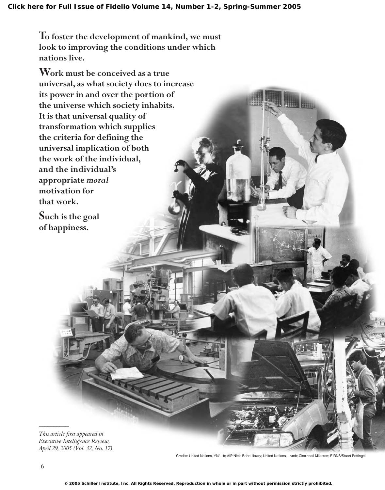**To foster the development of mankind, we must look to improving the conditions under which nations live.** 

**Work must be conceived as a true universal, as what society does to increase its power in and over the portion of the universe which society inhabits. It is that universal quality of transformation which supplies the criteria for defining the universal implication of both the work of the individual, and the individual's appropriate** *moral* **motivation for that work.**

**Such is the goal of happiness.**

*This article first appeared in Executive Intelligence Review, April 29, 2005 (Vol. 32, No. 17).*

Credits: United Nations, YN/—b; AIP Niels Bohr Library; United Nations,—vmb; Cincinnati Milacron; EIRNS/Stuart Pettingel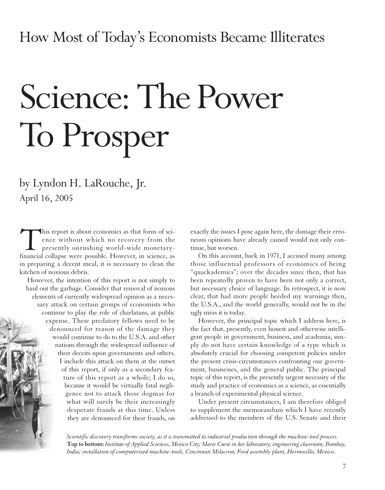# Science: The Power To Prosper

by Lyndon H. LaRouche, Jr. April 16, 2005

This report is about economics as that form of science without which no recovery from the presently onrushing world-wide monetary-<br>financial collapse were possible. However, in science, as ence without which no recovery from the presently onrushing world-wide monetaryfinancial collapse were possible. However, in science, as in preparing a decent meal, it is necessary to clean the kitchen of noxious debris.

However, the intention of this report is not simply to haul out the garbage. Consider that removal of noxious elements of currently widespread opinion as a necessary attack on certain groups of economists who continue to play the role of charlatans, at public expense. These predatory fellows need to be denounced for reason of the damage they would continue to do to the U.S.A. and other nations through the widespread influence of their deceits upon governments and others. I include this attack on them at the outset of this report, if only as a secondary feature of this report as a whole; I do so, because it would be virtually fatal negligence not to attack those dogmas for what will surely be their increasingly desperate frauds at this time. Unless they are denounced for their frauds, on

exactly the issues I pose again here, the damage their erroneous opinions have already caused would not only continue, but worsen.

On this account, back in 1971, I accused many among those influential professors of economics of being "quackademics"; over the decades since then, that has been repeatedly proven to have been not only a correct, but necessary choice of language. In retrospect, it is now clear, that had more people heeded my warnings then, the U.S.A., and the world generally, would not be in the ugly mess it is today.

However, the principal topic which I address here, is the fact that, presently, even honest and otherwise intelligent people in government, business, and academia, simply do not have certain knowledge of a type which is absolutely crucial for choosing competent policies under the present crisis-circumstances confronting our government, businesses, and the general public. The principal topic of this report, is the presently urgent necessity of the study and practice of economics as a science, as essentially a branch of experimental physical science.

Under present circumstances, I am therefore obliged to supplement the memorandum which I have recently addressed to the members of the U.S. Senate and their

*Scientific discovery transforms society, as it is transmitted to industrial production through the machine-tool process.*  **Top to bottom:** *Institute of Applied Sciences, Mexico City; Marie Curie in her laboratory; engineering classroom, Bombay, India; installation of computerized machine-tools, Cincinnati Milacron; Ford assembly plant, Hermosillo, Mexico.*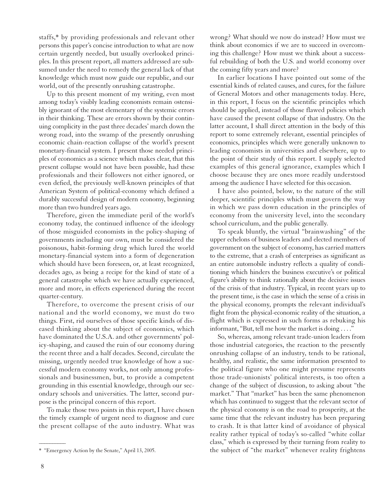staffs,\* by providing professionals and relevant other persons this paper's concise introduction to what are now certain urgently needed, but usually overlooked principles. In this present report, all matters addressed are subsumed under the need to remedy the general lack of that knowledge which must now guide our republic, and our world, out of the presently onrushing catastrophe.

Up to this present moment of my writing, even most among today's visibly leading economists remain ostensibly ignorant of the most elementary of the systemic errors in their thinking. These are errors shown by their continuing complicity in the past three decades' march down the wrong road, into the swamp of the presently onrushing economic chain-reaction collapse of the world's present monetary-financial system. I present those needed principles of economics as a science which makes clear, that this present collapse would not have been possible, had these professionals and their followers not either ignored, or even defied, the previously well-known principles of that American System of political-economy which defined a durably successful design of modern economy, beginning more than two hundred years ago.

Therefore, given the immediate peril of the world's economy today, the continued influence of the ideology of those misguided economists in the policy-shaping of governments including our own, must be considered the poisonous, habit-forming drug which lured the world monetary-financial system into a form of degeneration which should have been foreseen, or, at least recognized, decades ago, as being a recipe for the kind of state of a general catastrophe which we have actually experienced, more and more, in effects experienced during the recent quarter-century.

Therefore, to overcome the present crisis of our national and the world economy, we must do two things. First, rid ourselves of those specific kinds of diseased thinking about the subject of economics, which have dominated the U.S.A. and other governments' policy-shaping, and caused the ruin of our economy during the recent three and a half decades. Second, circulate the missing, urgently needed true knowledge of how a successful modern economy works, not only among professionals and businessmen, but, to provide a competent grounding in this essential knowledge, through our secondary schools and universities. The latter, second purpose is the principal concern of this report.

To make those two points in this report, I have chosen the timely example of urgent need to diagnose and cure the present collapse of the auto industry. What was wrong? What should we now do instead? How must we think about economics if we are to succeed in overcoming this challenge? How must we think about a successful rebuilding of both the U.S. and world economy over the coming fifty years and more?

In earlier locations I have pointed out some of the essential kinds of related causes, and cures, for the failure of General Motors and other managements today. Here, in this report, I focus on the scientific principles which should be applied, instead of those flawed policies which have caused the present collapse of that industry. On the latter account, I shall direct attention in the body of this report to some extremely relevant, essential principles of economics, principles which were generally unknown to leading economists in universities and elsewhere, up to the point of their study of this report. I supply selected examples of this general ignorance, examples which I choose because they are ones more readily understood among the audience I have selected for this occasion.

I have also pointed, below, to the nature of the still deeper, scientific principles which must govern the way in which we pass down education in the principles of economy from the university level, into the secondary school curriculum, and the public generally.

To speak bluntly, the virtual "brainwashing" of the upper echelons of business leaders and elected members of government on the subject of economy, has carried matters to the extreme, that a crash of enterprises as significant as an entire automobile industry reflects a quality of conditioning which hinders the business executive's or political figure's ability to think rationally about the decisive issues of the crisis of that industry. Typical, in recent years up to the present time, is the case in which the sense of a crisis in the physical economy, prompts the relevant individual's flight from the physical-economic reality of the situation, a flight which is expressed in such forms as rebuking his informant, "But, tell me how the market is doing . . . ."

So, whereas, among relevant trade-union leaders from those industrial categories, the reaction to the presently onrushing collapse of an industry, tends to be rational, healthy, and realistic, the same information presented to the political figure who one might presume represents those trade-unionists' political interests, is too often a change of the subject of discussion, to asking about "the market." That "market" has been the same phenomenon which has continued to suggest that the relevant sector of the physical economy is on the road to prosperity, at the same time that the relevant industry has been preparing to crash. It is that latter kind of avoidance of physical reality rather typical of today's so-called "white collar class," which is expressed by their turning from reality to the subject of "the market" whenever reality frightens

<sup>\*</sup> "Emergency Action by the Senate," April 13, 2005.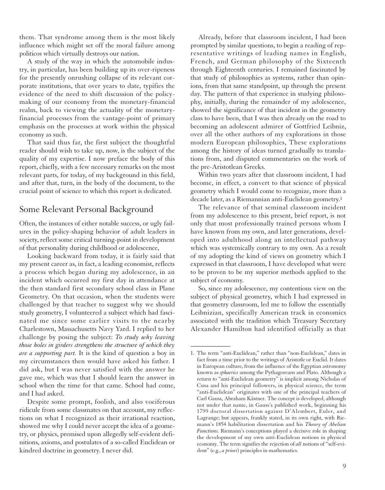them. That syndrome among them is the most likely influence which might set off the moral failure among politicos which virtually destroys our nation.

A study of the way in which the automobile industry, in particular, has been building up its over-ripeness for the presently onrushing collapse of its relevant corporate institutions, that over years to date, typifies the evidence of the need to shift discussion of the policymaking of our economy from the monetary-financial realm, back to viewing the actuality of the monetaryfinancial processes from the vantage-point of primary emphasis on the processes at work within the physical economy as such.

That said thus far, the first subject the thoughtful reader should wish to take up, now, is the subject of the quality of my expertise. I now preface the body of this report, chiefly, with a few necessary remarks on the most relevant parts, for today, of my background in this field, and after that, turn, in the body of the document, to the crucial point of science to which this report is dedicated.

#### Some Relevant Personal Background

Often, the instances of either notable success, or ugly failures in the policy-shaping behavior of adult leaders in society, reflect some critical turning-point in development of that personality during childhood or adolescence,

Looking backward from today, it is fairly said that my present career as, in fact, a leading economist, reflects a process which began during my adolescence, in an incident which occurred my first day in attendance at the then standard first secondary school class in Plane Geometry. On that occasion, when the students were challenged by that teacher to suggest why we should study geometry, I volunteered a subject which had fascinated me since some earlier visits to the nearby Charlestown, Massachusetts Navy Yard. I replied to her challenge by posing the subject: *To study why leaving those holes in girders strengthens the structure of which they are a supporting part.* It is the kind of question a boy in my circumstances then would have asked his father. I did ask, but I was never satisfied with the answer he gave me, which was that I should learn the answer in school when the time for that came. School had come, and I had asked.

Despite some prompt, foolish, and also vociferous ridicule from some classmates on that account, my reflections on what I recognized as their irrational reaction, showed me why I could never accept the idea of a geometry, or physics, premised upon allegedly self-evident definitions, axioms, and postulates of a so-called Euclidean or kindred doctrine in geometry. I never did.

Already, before that classroom incident, I had been prompted by similar questions, to begin a reading of representative writings of leading names in English, French, and German philosophy of the Sixteenth through Eighteenth centuries. I remained fascinated by that study of philosophies as systems, rather than opinions, from that same standpoint, up through the present day. The pattern of that experience in studying philosophy, initially, during the remainder of my adolescence, showed the significance of that incident in the geometry class to have been, that I was then already on the road to becoming an adolescent admirer of Gottfried Leibniz, over all the other authors of my explorations in those modern European philosophies, These explorations among the history of ideas turned gradually to translations from, and disputed commentaries on the work of the pre-Aristotlean Greeks.

Within two years after that classroom incident, I had become, in effect, a convert to that science of physical geometry which I would come to recognize, more than a decade later, as a Riemannian anti-Euclidean geometry.1

The relevance of that seminal classroom incident from my adolescence to this present, brief report, is not only that most professionally trained persons whom I have known from my own, and later generations, developed into adulthood along an intellectual pathway which was systemically contrary to my own. As a result of my adopting the kind of views on geometry which I expressed in that classroom, I have developed what were to be proven to be my superior methods applied to the subject of economy.

So, since my adolescence, my contentious view on the subject of physical geometry, which I had expressed in that geometry classroom, led me to follow the essentially Leibnizian, specifically American track in economics associated with the tradition which Treasury Secretary Alexander Hamilton had identified officially as that

<sup>1.</sup> The term "anti-Euclidean," rather than "non-Euclidean," dates in fact from a time prior to the writings of Aristotle or Euclid. It dates in European culture, from the influence of the Egyptian astronomy known as *sphaerics* among the Pythagoreans and Plato. Although a return to "anti-Euclidean geometry" is implicit among Nicholas of Cusa and his principal followers, in physical science, the term "anti-Euclidean" originates with one of the principal teachers of Carl Gauss, Abraham Kästner. The concept is developed, although not under that name, in Gauss's published work, beginning his 1799 doctoral dissertation against D'Alembert, Euler, and Lagrange; but appears, frankly stated, in its own right, with Riemann's 1854 habilitation dissertation and his *Theory of Abelian Functions.* Riemann's conceptions played a decisive role in shaping the development of my own anti-Euclidean notions in physical economy. The term signifies the rejection of *all* notions of "self-evident" (e.g., *a priori*) principles in mathematics.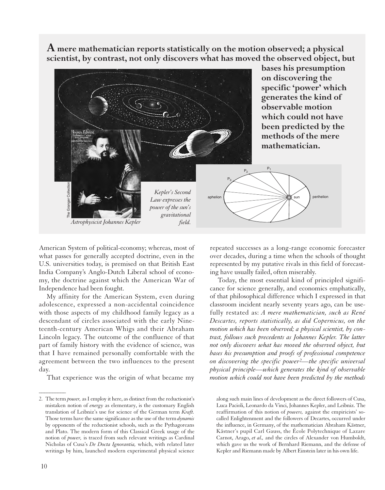**A mere mathematician reports statistically on the motion observed; a physical scientist, by contrast, not only discovers what has moved the observed object, but**



American System of political-economy; whereas, most of what passes for generally accepted doctrine, even in the U.S. universities today, is premised on that British East India Company's Anglo-Dutch Liberal school of economy, the doctrine against which the American War of Independence had been fought.

My affinity for the American System, even during adolescence, expressed a non-accidental coincidence with those aspects of my childhood family legacy as a descendant of circles associated with the early Nineteenth-century American Whigs and their Abraham Lincoln legacy. The outcome of the confluence of that part of family history with the evidence of science, was that I have remained personally comfortable with the agreement between the two influences to the present day.

That experience was the origin of what became my

10

 $\overline{\phantom{a}}$ 

repeated successes as a long-range economic forecaster over decades, during a time when the schools of thought represented by my putative rivals in this field of forecasting have usually failed, often miserably.

Today, the most essential kind of principled significance for science generally, and economics emphatically, of that philosophical difference which I expressed in that classroom incident nearly seventy years ago, can be usefully restated as: *A mere mathematician, such as René Descartes, reports statistically, as did Copernicus, on the motion which has been observed; a physical scientist, by contrast, follows such precedents as Johannes Kepler. The latter not only discovers what has moved the observed object, but bases his presumption and proofs of professional competence on discovering the specific power2—the specific universal physical principle—which generates the kind of observable motion which could not have been predicted by the methods*

along such main lines of development as the direct followers of Cusa, Luca Pacioli, Leonardo da Vinci, Johannes Kepler, and Leibniz. The reaffirmation of this notion of *powers,* against the empiricists' socalled Enlightenment and the followers of Decartes, occurred under the influence, in Germany, of the mathematician Abraham Kästner, Kästner's pupil Carl Gauss, the École Polytechnique of Lazare Carnot, Arago, *et al.,* and the circles of Alexander von Humboldt, which gave us the work of Bernhard Riemann, and the defense of Kepler and Riemann made by Albert Einstein later in his own life.

<sup>2.</sup> The term *power,* as I employ it here, as distinct from the reductionist's mistaken notion of *energy* as elementary, is the customary English translation of Leibniz's use for science of the German term *Kraft.* Those terms have the same significance as the use of the term *dynamis* by opponents of the reductionist schools, such as the Pythagoreans and Plato. The modern form of this Classical Greek usage of the notion of *power,* is traced from such relevant writings as Cardinal Nicholas of Cusa's *De Docta Ignorantia,* which, with related later writings by him, launched modern experimental physical science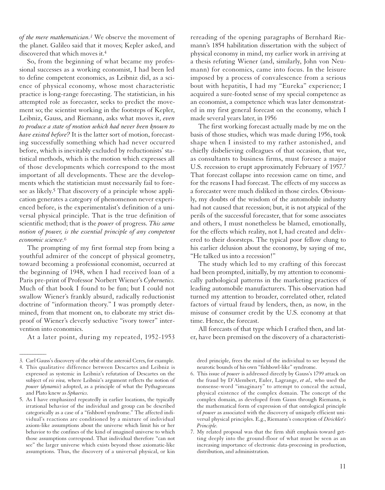*of the mere mathematician.3* We observe the movement of the planet. Galileo said that it moves; Kepler asked, and discovered that which moves it.4

So, from the beginning of what became my professional successes as a working economist, I had been led to define competent economics, as Leibniz did, as a science of physical economy, whose most characteristic practice is long-range forecasting. The statistician, in his attempted role as forecaster, seeks to predict the movement so; the scientist working in the footsteps of Kepler, Leibniz, Gauss, and Riemann, asks what moves it, *even to produce a state of motion which had never been known to have existed before?* It is the latter sort of motion, forecasting successfully something which had never occurred before, which is inevitably excluded by reductionists' statistical methods, which is the motion which expresses all of those developments which correspond to the most important of all developments. These are the developments which the statistician must necessarily fail to foresee as likely.<sup>5</sup> That discovery of a principle whose application generates a category of phenomenon never experienced before, is the experimentalist's definition of a universal physical principle. That is the true definition of scientific method; that is the *power* of progress. *This same notion of power, is the essential principle of any competent economic science.*6

The prompting of my first formal step from being a youthful admirer of the concept of physical geometry, toward becoming a professional economist, occurred at the beginning of 1948, when I had received loan of a Paris pre-print of Professor Norbert Wiener's *Cybernetics.* Much of that book I found to be fun; but I could not swallow Wiener's frankly absurd, radically reductionist doctrine of "information theory." I was promptly determined, from that moment on, to elaborate my strict disproof of Wiener's cleverly seductive "ivory tower" intervention into economics.

At a later point, during my repeated, 1952-1953

 $\overline{\phantom{a}}$ 

rereading of the opening paragraphs of Bernhard Riemann's 1854 habilitation dissertation with the subject of physical economy in mind, my earlier work in arriving at a thesis refuting Wiener (and, similarly, John von Neumann) for economics, came into focus. In the leisure imposed by a process of convalescence from a serious bout with hepatitis, I had my "Eureka" experience; I acquired a sure-footed sense of my special competence as an economist, a competence which was later demonstrated in my first general forecast on the economy, which I made several years later, in 1956

The first working forecast actually made by me on the basis of those studies, which was made during 1956, took shape when I insisted to my rather astonished, and chiefly disbelieving colleagues of that occasion, that we, as consultants to business firms, must foresee a major U.S. recession to erupt approximately February of 1957.7 That forecast collapse into recession came on time, and for the reasons I had forecast. The effects of my success as a forecaster were much disliked in those circles. Obviously, my doubts of the wisdom of the automobile industry had not caused that recession; but, it is not atypical of the perils of the successful forecaster, that for some associates and others, I must nonetheless be blamed, emotionally, for the effects which reality, not I, had created and delivered to their doorsteps. The typical poor fellow clung to his earlier delusion about the economy, by saying of me, "He talked us into a recession!"

The study which led to my crafting of this forecast had been prompted, initially, by my attention to economically pathological patterns in the marketing practices of leading automobile manufacturers. This observation had turned my attention to broader, correlated other, related factors of virtual fraud by lenders, then, as now, in the misuse of consumer credit by the U.S. economy at that time. Hence, the forecast.

All forecasts of that type which I crafted then, and later, have been premised on the discovery of a characteristi-

dred principle, frees the mind of the individual to see beyond the neurotic bounds of his own "fishbowl-like" syndrome.

- 6. This issue of *power* is addressed directly by Gauss's 1799 attack on the fraud by D'Alembert, Euler, Lagrange, *et al.,* who used the nonsense-word "imaginary" to attempt to conceal the actual, physical existence of the complex domain. The concept of the complex domain, as developed from Gauss through Riemann, is the mathematical form of expression of that ontological principle of *power* as associated with the discovery of uniquely efficient universal physical principles. E.g., Riemann's conception of *Dirichlet's Principle.*
- 7. My related proposal was that the firm shift emphasis toward getting deeply into the ground-floor of what must be seen as an increasing importance of electronic data-processing in production, distribution, and administration.

<sup>3.</sup> Carl Gauss's discovery of the orbit of the asteroid Ceres, for example.

<sup>4.</sup> This qualitative difference between Descartes and Leibniz is expressed as systemic in Leibniz's refutation of Descartes on the subject of *vis viva,* where Leibniz's argument reflects the notion of *power* (*dynamis*) adopted, as a principle of what the Pythagoreans and Plato knew as *Sphaerics.*

<sup>5.</sup> As I have emphasized repeatedly in earlier locations, the typically irrational behavior of the individual and group can be described categorically as a case of a "fishbowl syndrome." The affected individual's reactions are conditioned by a mixture of individual axiom-like assumptions about the universe which limit his or her behavior to the confines of the kind of imagined universe to which those assumptions correspond. That individual therefore "can not see" the larger universe which exists beyond those axiomatic-like assumptions. Thus, the discovery of a universal physical, or kin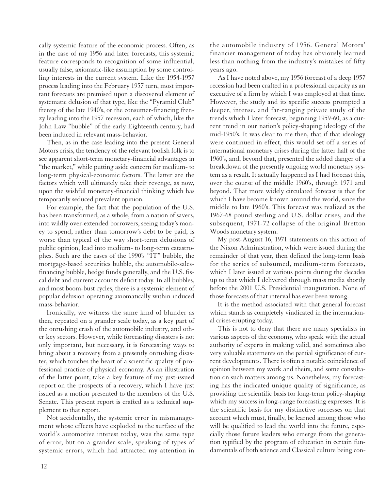cally systemic feature of the economic process. Often, as in the case of my 1956 and later forecasts, this systemic feature corresponds to recognition of some influential, usually false, axiomatic-like assumption by some controlling interests in the current system. Like the 1954-1957 process leading into the February 1957 turn, most important forecasts are premised upon a discovered element of systematic delusion of that type, like the "Pyramid Club" frenzy of the late 1940's, or the consumer-financing frenzy leading into the 1957 recession, each of which, like the John Law "bubble" of the early Eighteenth century, had been induced in relevant mass-behavior.

Then, as in the case leading into the present General Motors crisis, the tendency of the relevant foolish folk is to see apparent short-term monetary-financial advantages in "the market," while putting aside concern for medium- to long-term physical-economic factors. The latter are the factors which will ultimately take their revenge, as now, upon the wishful monetary-financial thinking which has temporarily seduced prevalent opinion.

For example, the fact that the population of the U.S. has been transformed, as a whole, from a nation of savers, into wildly over-extended borrowers, seeing today's money to spend, rather than tomorrow's debt to be paid, is worse than typical of the way short-term delusions of public opinion, lead into medium- to long-term catastrophes. Such are the cases of the 1990's "IT" bubble, the mortgage-based securities bubble, the automobile-salesfinancing bubble, hedge funds generally, and the U.S. fiscal debt and current accounts deficit today. In all bubbles, and most boom-bust cycles, there is a systemic element of popular delusion operating axiomatically within induced mass-behavior.

Ironically, we witness the same kind of blunder as then, repeated on a grander scale today, as a key part of the onrushing crash of the automobile industry, and other key sectors. However, while forecasting disasters is not only important, but necessary, it is forecasting ways to bring about a recovery from a presently onrushing disaster, which touches the heart of a scientific quality of professional practice of physical economy. As an illustration of the latter point, take a key feature of my just-issued report on the prospects of a recovery, which I have just issued as a motion presented to the members of the U.S. Senate. This present report is crafted as a technical supplement to that report.

Not accidentally, the systemic error in mismanagement whose effects have exploded to the surface of the world's automotive interest today, was the same type of error, but on a grander scale, speaking of types of systemic errors, which had attracted my attention in

the automobile industry of 1956. General Motors' financier management of today has obviously learned less than nothing from the industry's mistakes of fifty years ago.

As I have noted above, my 1956 forecast of a deep 1957 recession had been crafted in a professional capacity as an executive of a firm by which I was employed at that time. However, the study and its specific success prompted a deeper, intense, and far-ranging private study of the trends which I later forecast, beginning 1959-60, as a current trend in our nation's policy-shaping ideology of the mid-1950's. It was clear to me then, that if that ideology were continued in effect, this would set off a series of international monetary crises during the latter half of the 1960's, and, beyond that, presented the added danger of a breakdown of the presently ongoing world monetary system as a result. It actually happened as I had forecast this, over the course of the middle 1960's, through 1971 and beyond. That more widely circulated forecast is that for which I have become known around the world, since the middle to late 1960's. This forecast was realized as the 1967-68 pound sterling and U.S. dollar crises, and the subsequent, 1971-72 collapse of the original Bretton Woods monetary system.

My post-August 16, 1971 statements on this action of the Nixon Administration, which were issued during the remainder of that year, then defined the long-term basis for the series of subsumed, medium-term forecasts, which I later issued at various points during the decades up to that which I delivered through mass media shortly before the 2001 U.S. Presidential inauguration. None of those forecasts of that interval has ever been wrong.

It is the method associated with that general forecast which stands as completely vindicated in the international crises erupting today.

This is not to deny that there are many specialists in various aspects of the economy, who speak with the actual authority of experts in making valid, and sometimes also very valuable statements on the partial significance of current developments. There is often a notable coincidence of opinion between my work and theirs, and some consultation on such matters among us. Nonetheless, my forecasting has the indicated unique quality of significance, as providing the scientific basis for long-term policy-shaping which my success in long-range forecasting expresses. It is the scientific basis for my distinctive successes on that account which must, finally, be learned among those who will be qualified to lead the world into the future, especially those future leaders who emerge from the generation typified by the program of education in certain fundamentals of both science and Classical culture being con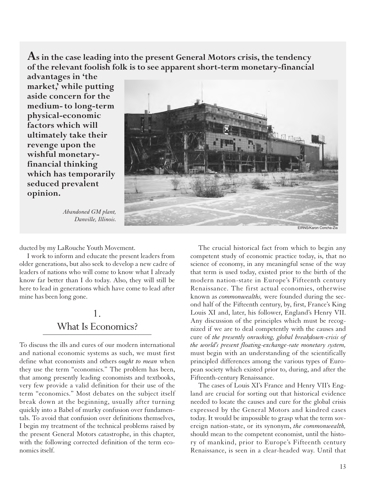**As in the case leading into the present General Motors crisis, the tendency of the relevant foolish folk is to see apparent short-term monetary-financial**

**advantages in 'the market,' while putting aside concern for the medium- to long-term physical-economic factors which will ultimately take their revenge upon the wishful monetaryfinancial thinking which has temporarily seduced prevalent opinion.**

> *Abandoned GM plant, Danville, Illinois.*

EIRNS/Karon Concha-Z

ducted by my LaRouche Youth Movement.

I work to inform and educate the present leaders from older generations, but also seek to develop a new cadre of leaders of nations who will come to know what I already know far better than I do today. Also, they will still be here to lead in generations which have come to lead after mine has been long gone.

## 1. What Is Economics?

To discuss the ills and cures of our modern international and national economic systems as such, we must first define what economists and others *ought to mean* when they use the term "economics." The problem has been, that among presently leading economists and textbooks, very few provide a valid definition for their use of the term "economics." Most debates on the subject itself break down at the beginning, usually after turning quickly into a Babel of murky confusion over fundamentals. To avoid that confusion over definitions themselves, I begin my treatment of the technical problems raised by the present General Motors catastrophe, in this chapter, with the following corrected definition of the term economics itself.

The crucial historical fact from which to begin any competent study of economic practice today, is, that no science of economy, in any meaningful sense of the way that term is used today, existed prior to the birth of the modern nation-state in Europe's Fifteenth century Renaissance. The first actual economies, otherwise known as *commonwealths,* were founded during the second half of the Fifteenth century, by, first, France's King Louis XI and, later, his follower, England's Henry VII. Any discussion of the principles which must be recognized if we are to deal competently with the causes and cure of *the presently onrushing, global breakdown-crisis of the world's present floating-exchange-rate monetary system,* must begin with an understanding of the scientifically principled differences among the various types of European society which existed prior to, during, and after the Fifteenth-century Renaissance.

The cases of Louis XI's France and Henry VII's England are crucial for sorting out that historical evidence needed to locate the causes and cure for the global crisis expressed by the General Motors and kindred cases today. It would be impossible to grasp what the term sovereign nation-state, or its synonym, *the commonwealth,* should mean to the competent economist, until the history of mankind, prior to Europe's Fifteenth century Renaissance, is seen in a clear-headed way. Until that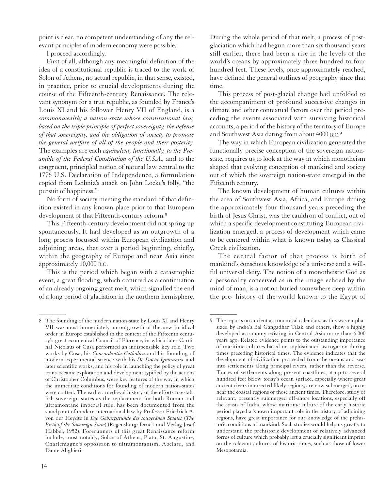point is clear, no competent understanding of any the relevant principles of modern economy were possible.

I proceed accordingly.

First of all, although any meaningful definition of the idea of a constitutional republic is traced to the work of Solon of Athens, no actual republic, in that sense, existed, in practice, prior to crucial developments during the course of the Fifteenth-century Renaissance. The relevant synonym for a true republic, as founded by France's Louis XI and his follower Henry VII of England, is a *commonwealth; a nation-state whose constitutional law, based on the triple principle of perfect sovereignty, the defense of that sovereignty, and the obligation of society to promote the general welfare of all of the people and their posterity.* The examples are each *equivalent, functionally, to the Preamble of the Federal Constitution of the U.S.A.,* and to the congruent, principled notion of natural law central to the 1776 U.S. Declaration of Independence, a formulation copied from Leibniz's attack on John Locke's folly, "the pursuit of happiness."

No form of society meeting the standard of that definition existed in any known place prior to that European development of that Fifteenth-century reform.8

This Fifteenth-century development did not spring up spontaneously. It had developed as an outgrowth of a long process focussed within European civilization and adjoining areas, that over a period beginning, chiefly, within the geography of Europe and near Asia since approximately 10,000 B.C.

This is the period which began with a catastrophic event, a great flooding, which occurred as a continuation of an already ongoing great melt, which signalled the end of a long period of glaciation in the northern hemisphere. During the whole period of that melt, a process of postglaciation which had begun more than six thousand years still earlier, there had been a rise in the levels of the world's oceans by approximately three hundred to four hundred feet. These levels, once approximately reached, have defined the general outlines of geography since that time.

This process of post-glacial change had unfolded to the accompaniment of profound successive changes in climate and other contextual factors over the period preceding the events associated with surviving historical accounts, a period of the history of the territory of Europe and Southwest Asia dating from about 4000 B.C.9

The way in which European civilization generated the functionally precise conception of the sovereign nationstate, requires us to look at the way in which monotheism shaped that evolving conception of mankind and society out of which the sovereign nation-state emerged in the Fifteenth century.

The known development of human cultures within the area of Southwest Asia, Africa, and Europe during the approximately four thousand years preceding the birth of Jesus Christ, was the cauldron of conflict, out of which a specific development constituting European civilization emerged, a process of development which came to be centered within what is known today as Classical Greek civilization.

The central factor of that process is birth of mankind's conscious knowledge of a universe and a willful universal deity. The notion of a monotheistic God as a personality conceived as in the image echoed by the mind of man, is a notion buried somewhere deep within the pre- history of the world known to the Egypt of

 $\overline{\phantom{a}}$ 

<sup>8.</sup> The founding of the modern nation-state by Louis XI and Henry VII was most immediately an outgrowth of the new juridical order in Europe established in the context of the Fifteenth century's great ecumenical Council of Florence, in which later Cardinal Nicolaus of Cusa performed an indispensable key role. Two works by Cusa, his *Concordantia Catholica* and his founding of modern experimental science with his *De Docta Ignorantia* and later scientific works, and his role in launching the policy of great trans-oceanic exploration and development typified by the actions of Christopher Columbus, were key features of the way in which the immediate conditions for founding of modern nation-states were crafted. The earlier, medieval history of the efforts to establish sovereign states as the replacement for both Roman and ultramontane imperial rule, has been documented from the standpoint of modern international law by Professor Friedrich A. von der Heydte in *Die Geburtsstunde des souveränen Staates* (*The Birth of the Sovereign State*) (Regensburg: Druck und Verlag Josef Habbel, 1952). Forerunners of this great Renaissance reform include, most notably, Solon of Athens, Plato, St. Augustine, Charlemagne's opposition to ultramontanism, Abelard, and Dante Alighieri.

<sup>9.</sup> The reports on ancient astronomical calendars, as this was emphasized by India's Bal Gangadhar Tilak and others, show a highly developed astronomy existing in Central Asia more than 6,000 years ago. Related evidence points to the outstanding importance of maritime cultures based on sophisticated astrogation during times preceding historical times. The evidence indicates that the development of civilization proceeded from the oceans and seas into settlements along principal rivers, rather than the reverse. Traces of settlements along present coastlines, at up to several hundred feet below today's ocean surface, especially where great ancient rivers intersected likely regions, are now submerged, on or near the coastal regions of those ancient times. Therefore, study of relevant, presently submerged off-shore locations, especially off the coasts of India, whose maritime culture of the early historic period played a known important role in the history of adjoining regions, have great importance for our knowledge of the prehistoric conditions of mankind. Such studies would help us greatly to understand the prehistoric development of relatively advanced forms of culture which probably left a crucially significant imprint on the relevant cultures of historic times, such as those of lower Mesopotamia.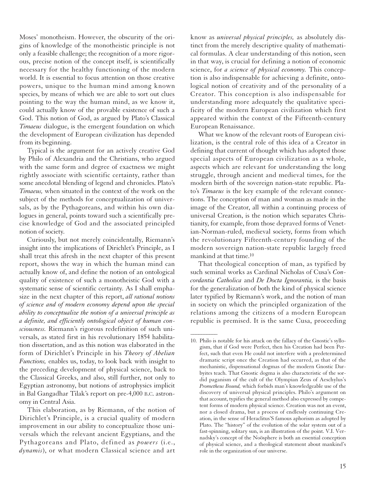Moses' monotheism. However, the obscurity of the origins of knowledge of the monotheistic principle is not only a feasible challenge; the recognition of a more rigorous, precise notion of the concept itself, is scientifically necessary for the healthy functioning of the modern world. It is essential to focus attention on those creative powers, unique to the human mind among known species, by means of which we are able to sort out clues pointing to the way the human mind, as we know it, could actually know of the provable existence of such a God. This notion of God, as argued by Plato's Classical *Timaeus* dialogue, is the emergent foundation on which the development of European civilization has depended from its beginning.

Typical is the argument for an actively creative God by Philo of Alexandria and the Christians, who argued with the same form and degree of exactness we might rightly associate with scientific certainty, rather than some anecdotal blending of legend and chronicles. Plato's *Timaeus,* when situated in the context of the work on the subject of the methods for conceptualization of universals, as by the Pythagoreans, and within his own dialogues in general, points toward such a scientifically precise knowledge of God and the associated principled notion of society.

Curiously, but not merely coincidentally, Riemann's insight into the implications of Dirichlet's Principle, as I shall treat this afresh in the next chapter of this present report, shows the way in which the human mind can actually know of, and define the notion of an ontological quality of existence of such a monotheistic God with a systematic sense of scientific certainty. As I shall emphasize in the next chapter of this report, *all rational notions of science and of modern economy depend upon the special ability to conceptualize the notion of a universal principle as a definite, and efficiently ontological object of human consciousness.* Riemann's rigorous redefinition of such universals, as stated first in his revolutionary 1854 habilitation dissertation, and as this notion was elaborated in the form of Dirichlet's Principle in his *Theory of Abelian Functions,* enables us, today, to look back with insight to the preceding development of physical science, back to the Classical Greeks, and also, still further, not only to Egyptian astronomy, but notions of astrophysics implicit in Bal Gangadhar Tilak's report on pre-4,000 B.C. astronomy in Central Asia.

This elaboration, as by Riemann, of the notion of Dirichlet's Principle, is a crucial quality of modern improvement in our ability to conceptualize those universals which the relevant ancient Egyptians, and the Pythagoreans and Plato, defined as *powers* (i.e., *dynamis*), or what modern Classical science and art know as *universal physical principles,* as absolutely distinct from the merely descriptive quality of mathematical formulas. A clear understanding of this notion, seen in that way, is crucial for defining a notion of economic science, for *a science of physical economy.* This conception is also indispensable for achieving a definite, ontological notion of creativity and of the personality of a Creator. This conception is also indispensable for understanding more adequately the qualitative specificity of the modern European civilization which first appeared within the context of the Fifteenth-century European Renaissance.

What we know of the relevant roots of European civilization, is the central role of this idea of a Creator in defining that current of thought which has adopted those special aspects of European civilization as a whole, aspects which are relevant for understanding the long struggle, through ancient and medieval times, for the modern birth of the sovereign nation-state republic. Plato's *Timaeus* is the key example of the relevant connections. The conception of man and woman as made in the image of the Creator, all within a continuing process of universal Creation, is the notion which separates Christianity, for example, from those depraved forms of Venetian-Norman-ruled, medieval society, forms from which the revolutionary Fifteenth-century founding of the modern sovereign nation-state republic largely freed mankind at that time.10

That theological conception of man, as typified by such seminal works as Cardinal Nicholas of Cusa's *Concordantia Catholica* and *De Docta Ignorantia,* is the basis for the generalization of both the kind of physical science later typified by Riemann's work, and the notion of man in society on which the principled organization of the relations among the citizens of a modern European republic is premised. It is the same Cusa, proceeding

<sup>10.</sup> Philo is notable for his attack on the fallacy of the Gnostic's syllogism, that if God were Perfect, then his Creation had been Perfect, such that even He could not interfere with a predetermined dramatic script once the Creation had occurred, as that of the mechanistic, dispensational dogmas of the modern Gnostic Darbyites teach. That Gnostic dogma is also characteristic of the sordid paganism of the cult of the Olympian Zeus of Aeschylus's *Prometheus Bound,* which forbids man's knowledgeable use of the discovery of universal physical principles. Philo's argument on that account, typifies the general method also expressed by competent forms of modern physical science. Creation was not an event, nor a closed drama, but a process of endlessly continuing Creation, in the sense of Heraclitus'S famous aphorism as adopted by Plato. The "history" of the evolution of the solar system out of a fast-spinning, solitary sun, is an illustration of the point. V.I. Vernadsky's concept of the Noösphere is both an essential conception of physical science, and a theological statement about mankind's role in the organization of our universe.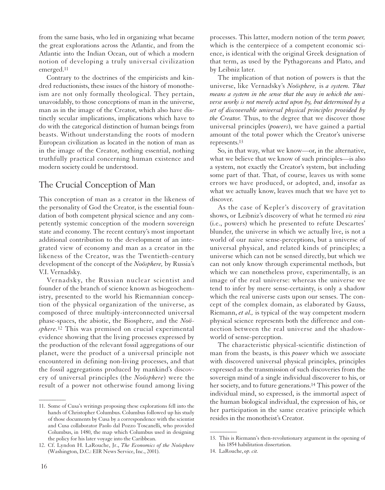from the same basis, who led in organizing what became the great explorations across the Atlantic, and from the Atlantic into the Indian Ocean, out of which a modern notion of developing a truly universal civilization emerged.11

Contrary to the doctrines of the empiricists and kindred reductionists, these issues of the history of monotheism are not only formally theological. They pertain, unavoidably, to those conceptions of man in the universe, man as in the image of the Creator, which also have distinctly secular implications, implications which have to do with the categorical distinction of human beings from beasts. Without understanding the roots of modern European civilization as located in the notion of man as in the image of the Creator, nothing essential, nothing truthfully practical concerning human existence and modern society could be understood.

#### The Crucial Conception of Man

This conception of man as a creator in the likeness of the personality of God the Creator, is the essential foundation of both competent physical science and any competently systemic conception of the modern sovereign state and economy. The recent century's most important additional contribution to the development of an integrated view of economy and man as a creator in the likeness of the Creator, was the Twentieth-century development of the concept of the *Noösphere,* by Russia's V.I. Vernadsky.

Vernadsky, the Russian nuclear scientist and founder of the branch of science known as biogeochemistry, presented to the world his Riemannian conception of the physical organization of the universe, as composed of three multiply-interconnected universal phase-spaces, the abiotic, the Biosphere, and the *Noösphere.*<sup>12</sup> This was premised on crucial experimental evidence showing that the living processes expressed by the production of the relevant fossil aggregations of our planet, were the product of a universal principle not encountered in defining non-living processes, and that the fossil aggregations produced by mankind's discovery of universal principles (the *Noösphere*) were the result of a power not otherwise found among living processes. This latter, modern notion of the term *power,* which is the centerpiece of a competent economic science, is identical with the original Greek designation of that term, as used by the Pythagoreans and Plato, and by Leibniz later.

The implication of that notion of powers is that the universe, like Vernadsky's *Noösphere,* is *a system. That means a system in the sense that the way in which the universe works is not merely acted upon by, but determined by a set of discoverable universal physical principles provided by the Creator.* Thus, to the degree that we discover those universal principles (*powers*), we have gained a partial amount of the total power which the Creator's universe represents.13

So, in that way, what we know—or, in the alternative, what we believe that we know of such principles—is also a system, not exactly the Creator's system, but including some part of that. That, of course, leaves us with some errors we have produced, or adopted, and, insofar as what we actually know, leaves much that we have yet to discover.

As the case of Kepler's discovery of gravitation shows, or Leibniz's discovery of what he termed *vis viva* (i.e., powers) which he presented to refute Descartes' blunder, the universe in which we actually live, is not a world of our naive sense-perceptions, but a universe of universal physical, and related kinds of principles; a universe which can not be sensed directly, but which we can not only know through experimental methods, but which we can nonetheless prove, experimentally, is an image of the real universe: whereas the universe we tend to infer by mere sense-certainty, is only a shadow which the real universe casts upon our senses. The concept of the complex domain, as elaborated by Gauss, Riemann, *et al.,* is typical of the way competent modern physical science represents both the difference and connection between the real universe and the shadowworld of sense-perception.

The characteristic physical-scientific distinction of man from the beasts, is this *power* which we associate with discovered universal physical principles, principles expressed as the transmission of such discoveries from the sovereign mind of a single individual discoverer to his, or her society, and to future generations.14 This power of the individual mind, so expressed, is the immortal aspect of the human biological individual, the expression of his, or her participation in the same creative principle which resides in the monotheist's Creator.

 $\overline{\phantom{a}}$ 

<sup>11.</sup> Some of Cusa's writings proposing these explorations fell into the hands of Christopher Columbus. Columbus followed up his study of those documents by Cusa by a correspondence with the scientist and Cusa collaborator Paolo dal Pozzo Toscanelli, who provided Columbus, in 1480, the map which Columbus used in designing the policy for his later voyage into the Caribbean.

<sup>12.</sup> Cf. Lyndon H. LaRouche, Jr., *The Economics of the Noösphere* (Washington, D.C.: EIR News Service, Inc., 2001).

<sup>13.</sup> This is Riemann's then-revolutionary argument in the opening of his 1854 habilitation dissertation.

<sup>14.</sup> LaRouche, *op. cit.*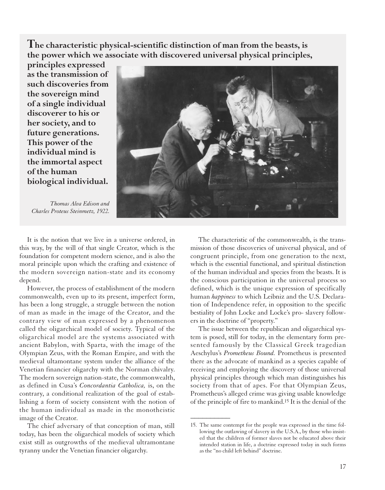**The characteristic physical-scientific distinction of man from the beasts, is the power which we associate with discovered universal physical principles,**

**principles expressed as the transmission of such discoveries from the sovereign mind of a single individual discoverer to his or her society, and to future generations. This power of the individual mind is the immortal aspect of the human biological individual.** 

*Thomas Alva Edison and Charles Proteus Steinmetz, 1922.*



It is the notion that we live in a universe ordered, in this way, by the will of that single Creator, which is the foundation for competent modern science, and is also the moral principle upon which the crafting and existence of the modern sovereign nation-state and its economy depend.

However, the process of establishment of the modern commonwealth, even up to its present, imperfect form, has been a long struggle, a struggle between the notion of man as made in the image of the Creator, and the contrary view of man expressed by a phenomenon called the oligarchical model of society. Typical of the oligarchical model are the systems associated with ancient Babylon, with Sparta, with the image of the Olympian Zeus, with the Roman Empire, and with the medieval ultamontane system under the alliance of the Venetian financier oligarchy with the Norman chivalry. The modern sovereign nation-state, the commonwealth, as defined in Cusa's *Concordantia Catholica,* is, on the contrary, a conditional realization of the goal of establishing a form of society consistent with the notion of the human individual as made in the monotheistic image of the Creator.

The chief adversary of that conception of man, still today, has been the oligarchical models of society which exist still as outgrowths of the medieval ultramontane tyranny under the Venetian financier oligarchy.

The characteristic of the commonwealth, is the transmission of those discoveries of universal physical, and of congruent principle, from one generation to the next, which is the essential functional, and spiritual distinction of the human individual and species from the beasts. It is the conscious participation in the universal process so defined, which is the unique expression of specifically human *happiness* to which Leibniz and the U.S. Declaration of Independence refer, in opposition to the specific bestiality of John Locke and Locke's pro- slavery followers in the doctrine of "property."

The issue between the republican and oligarchical system is posed, still for today, in the elementary form presented famously by the Classical Greek tragedian Aeschylus's *Prometheus Bound.* Prometheus is presented there as the advocate of mankind as a species capable of receiving and employing the discovery of those universal physical principles through which man distinguishes his society from that of apes. For that Olympian Zeus, Prometheus's alleged crime was giving usable knowledge of the principle of fire to mankind.15 It is the denial of the

<sup>15.</sup> The same contempt for the people was expressed in the time following the outlawing of slavery in the U.S.A., by those who insisted that the children of former slaves not be educated above their intended station in life, a doctrine expressed today in such forms as the "no child left behind" doctrine.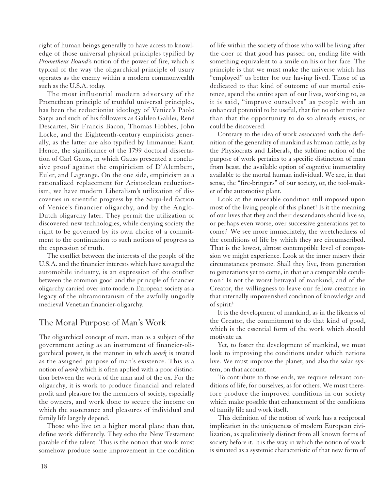right of human beings generally to have access to knowledge of those universal physical principles typified by *Prometheus Bound*'s notion of the power of fire, which is typical of the way the oligarchical principle of usury operates as the enemy within a modern commonwealth such as the U.S.A. today.

The most influential modern adversary of the Promethean principle of truthful universal principles, has been the reductionist ideology of Venice's Paolo Sarpi and such of his followers as Galileo Galilei, René Descartes, Sir Francis Bacon, Thomas Hobbes, John Locke, and the Eighteenth-century empiricists generally, as the latter are also typified by Immanuel Kant. Hence, the significance of the 1799 doctoral dissertation of Carl Gauss, in which Gauss presented a conclusive proof against the empiricism of D'Alembert, Euler, and Lagrange. On the one side, empiricism as a rationalized replacement for Aristotelean reductionism, we have modern Liberalism's utilization of discoveries in scientific progress by the Sarpi-led faction of Venice's financier oligarchy, and by the Anglo-Dutch oligarchy later. They permit the utilization of discovered new technologies, while denying society the right to be governed by its own choice of a commitment to the continuation to such notions of progress as the expression of truth.

The conflict between the interests of the people of the U.S.A. and the financier interests which have savaged the automobile industry, is an expression of the conflict between the common good and the principle of financier oligarchy carried over into modern European society as a legacy of the ultramontanism of the awfully ungodly medieval Venetian financier-oligarchy.

#### The Moral Purpose of Man's Work

The oligarchical concept of man, man as a subject of the government acting as an instrument of financier-oligarchical power, is the manner in which *work* is treated as the assigned purpose of man's existence. This is a notion of *work* which is often applied with a poor distinction between the work of the man and of the ox. For the oligarchy, it is work to produce financial and related profit and pleasure for the members of society, especially the owners, and work done to secure the income on which the sustenance and pleasures of individual and family life largely depend.

Those who live on a higher moral plane than that, define work differently. They echo the New Testament parable of the talent. This is the notion that work must somehow produce some improvement in the condition of life within the society of those who will be living after the doer of that good has passed on, ending life with something equivalent to a smile on his or her face. The principle is that we must make the universe which has "employed" us better for our having lived. Those of us dedicated to that kind of outcome of our mortal existence, spend the entire span of our lives, working to, as it is said, "improve ourselves" as people with an enhanced potential to be useful, that for no other motive than that the opportunity to do so already exists, or could be discovered.

Contrary to the idea of work associated with the definition of the generality of mankind as human cattle, as by the Physiocrats and Liberals, the sublime notion of the purpose of work pertains to a specific distinction of man from beast, the available option of cognitive immortality available to the mortal human individual. We are, in that sense, the "fire-bringers" of our society, or, the tool-maker of the automotive plant.

Look at the miserable condition still imposed upon most of the living people of this planet! Is it the meaning of our lives that they and their descendants should live so, or perhaps even worse, over successive generations yet to come? We see more immediately, the wretchedness of the conditions of life by which they are circumscribed. That is the lowest, almost contemptible level of compassion we might experience. Look at the inner misery their circumstances promote. Shall they live, from generation to generations yet to come, in that or a comparable condition? Is not the worst betrayal of mankind, and of the Creator, the willingness to leave our fellow-creature in that internally impoverished condition of knowledge and of spirit?

It is the development of mankind, as in the likeness of the Creator, the commitment to do that kind of good, which is the essential form of the work which should motivate us.

Yet, to foster the development of mankind, we must look to improving the conditions under which nations live. We must improve the planet, and also the solar system, on that account.

To contribute to those ends, we require relevant conditions of life, for ourselves, as for others. We must therefore produce the improved conditions in our society which make possible that enhancement of the conditions of family life and work itself.

This definition of the notion of work has a reciprocal implication in the uniqueness of modern European civilization, as qualitatively distinct from all known forms of society before it. It is the way in which the notion of work is situated as a systemic characteristic of that new form of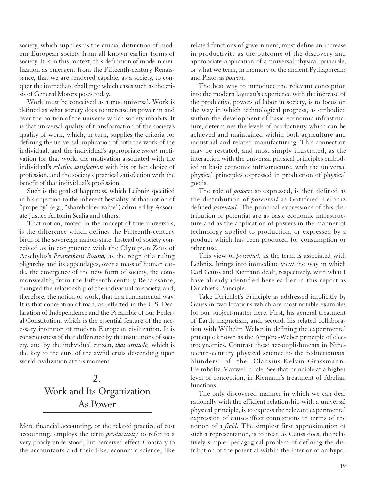society, which supplies us the crucial distinction of modern European society from all known earlier forms of society. It is in this context, this definition of modern civilization as emergent from the Fifteenth-century Renaissance, that we are rendered capable, as a society, to conquer the immediate challenge which cases such as the crisis of General Motors poses today.

Work must be conceived as a true universal. Work is defined as what society does to increase its power in and over the portion of the universe which society inhabits. It is that universal quality of transformation of the society's quality of work, which, in turn, supplies the criteria for defining the universal implication of both the work of the individual, and the individual's appropriate *moral* motivation for that work, the motivation associated with the individual's *relative satisfaction* with his or her choice of profession, and the society's practical satisfaction with the benefit of that individual's profession.

Such is the goal of happiness, which Leibniz specified in his objection to the inherent bestiality of that notion of "property" (e.g., "shareholder value") admired by Associate Justice Antonin Scalia and others.

That notion, rooted in the concept of true universals, is the difference which defines the Fifteenth-century birth of the sovereign nation-state. Instead of society conceived as in congruence with the Olympian Zeus of Aeschylus's *Prometheus Bound,* as the reign of a ruling oligarchy and its appendages, over a mass of human cattle, the emergence of the new form of society, the commonwealth, from the Fifteenth-century Renaissance, changed the relationship of the individual to society, and, therefore, the notion of work, that in a fundamental way. It is that conception of man, as reflected in the U.S. Declaration of Independence and the Preamble of our Federal Constitution, which is the essential feature of the necessary intention of modern European civilization. It is consciousness of that difference by the institutions of society, and by the individual citizen, *that attitude,* which is the key to the cure of the awful crisis descending upon world civilization at this moment.

# 2. Work and Its Organization As Power

Mere financial accounting, or the related practice of cost accounting, employs the term *productivity* to refer to a very poorly understood, but perceived effect. Contrary to the accountants and their like, economic science, like related functions of government, must define an increase in productivity as the outcome of the discovery and appropriate application of a universal physical principle, or what we term, in memory of the ancient Pythagoreans and Plato, as *powers.*

The best way to introduce the relevant conception into the modern layman's experience with the increase of the productive powers of labor in society, is to focus on the way in which technological progress, as embodied within the development of basic economic infrastructure, determines the levels of productivity which can be achieved and maintained within both agriculture and industrial and related manufacturing. This connection may be restated, and most simply illustrated, as the interaction with the universal physical principles embodied in basic economic infrastructure, with the universal physical principles expressed in production of physical goods.

The role of *powers* so expressed, is then defined as the distribution of *potential* as Gottfried Leibniz defined *potential.* The principal expressions of this distribution of potential are as basic economic infrastructure and as the application of powers in the manner of technology applied to production, or expressed by a product which has been produced for consumption or other use.

This view of *potential,* as the term is associated with Leibniz, brings into immediate view the way in which Carl Gauss and Riemann dealt, respectively, with what I have already identified here earlier in this report as Dirichlet's Principle.

Take Dirichlet's Principle as addressed implicitly by Gauss in two locations which are most notable examples for our subject-matter here. First, his general treatment of Earth magnetism, and, second, his related collaboration with Wilhelm Weber in defining the experimental principle known as the Ampère-Weber principle of electrodynamics. Contrast these accomplishments in Nineteenth-century physical science to the reductionists' blunders of the Clausius-Kelvin-Grassmann-Helmholtz-Maxwell circle. See that principle at a higher level of conception, in Riemann's treatment of Abelian functions.

The only discovered manner in which we can deal rationally with the efficient relationship with a universal physical principle, is to express the relevant experimental expression of cause-effect connections in terms of the notion of a *field.* The simplest first approximation of such a representation, is to treat, as Gauss does, the relatively simpler pedagogical problem of defining the distribution of the potential within the interior of an hypo-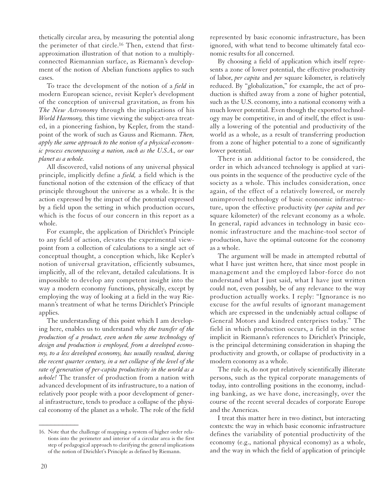thetically circular area, by measuring the potential along the perimeter of that circle.16 Then, extend that firstapproximation illustration of that notion to a multiplyconnected Riemannian surface, as Riemann's development of the notion of Abelian functions applies to such cases.

To trace the development of the notion of a *field* in modern European science, revisit Kepler's development of the conception of universal gravitation, as from his *The New Astronomy* through the implications of his *World Harmony,* this time viewing the subject-area treated, in a pioneering fashion, by Kepler, from the standpoint of the work of such as Gauss and Riemann. *Then, apply the same approach to the notion of a physical-economic process encompassing a nation, such as the U.S.A., or our planet as a whole.*

All discovered, valid notions of any universal physical principle, implicitly define a *field,* a field which is the functional notion of the extension of the efficacy of that principle throughout the universe as a whole. It is the action expressed by the impact of the potential expressed by a field upon the setting in which production occurs, which is the focus of our concern in this report as a whole.

For example, the application of Dirichlet's Principle to any field of action, elevates the experimental viewpoint from a collection of calculations to a single act of conceptual thought, a conception which, like Kepler's notion of universal gravitation, efficiently subsumes, implicitly, all of the relevant, detailed calculations. It is impossible to develop any competent insight into the way a modern economy functions, physically, except by employing the way of looking at a field in the way Riemann's treatment of what he terms Dirichlet's Principle applies.

The understanding of this point which I am developing here, enables us to understand why *the transfer of the production of a product, even when the same technology of design and production is employed, from a developed economy, to a less developed economy, has usually resulted, during the recent quarter century, in a net collapse of the level of the rate of generation of per-capita productivity in the world as a whole!* The transfer of production from a nation with advanced development of its infrastructure, to a nation of relatively poor people with a poor development of general infrastructure, tends to produce a collapse of the physical economy of the planet as a whole. The role of the field

represented by basic economic infrastructure, has been ignored, with what tend to become ultimately fatal economic results for all concerned.

By choosing a field of application which itself represents a zone of lower potential, the effective productivity of labor, *per capita* and *per* square kilometer, is relatively reduced. By "globalization," for example, the act of production is shifted away from a zone of higher potential, such as the U.S. economy, into a national economy with a much lower potential. Even though the exported technology may be competitive, in and of itself, the effect is usually a lowering of the potential and productivity of the world as a whole, as a result of transferring production from a zone of higher potential to a zone of significantly lower potential.

There is an additional factor to be considered, the order in which advanced technology is applied at various points in the sequence of the productive cycle of the society as a whole. This includes consideration, once again, of the effect of a relatively lowered, or merely unimproved technology of basic economic infrastructure, upon the effective productivity (*per capita* and *per* square kilometer) of the relevant economy as a whole. In general, rapid advances in technology in basic economic infrastructure and the machine-tool sector of production, have the optimal outcome for the economy as a whole.

The argument will be made in attempted rebuttal of what I have just written here, that since most people in management and the employed labor-force do not understand what I just said, what I have just written could not, even possibly, be of any relevance to the way production actually works. I reply: "Ignorance is no excuse for the awful results of ignorant management which are expressed in the undeniably actual collapse of General Motors and kindred enterprises today." The field in which production occurs, a field in the sense implicit in Riemann's references to Dirichlet's Principle, is the principal determining consideration in shaping the productivity and growth, or collapse of productivity in a modern economy as a whole.

The rule is, do not put relatively scientifically illiterate persons, such as the typical corporate managements of today, into controlling positions in the economy, including banking, as we have done, increasingly, over the course of the recent several decades of corporate Europe and the Americas.

I treat this matter here in two distinct, but interacting contexts: the way in which basic economic infrastructure defines the variability of potential productivity of the economy (e.g., national physical economy) as a whole, and the way in which the field of application of principle

<sup>16.</sup> Note that the challenge of mapping a system of higher order relations into the perimeter and interior of a circular area is the first step of pedagogical approach to clarifying the general implications of the notion of Dirichlet's Principle as defined by Riemann.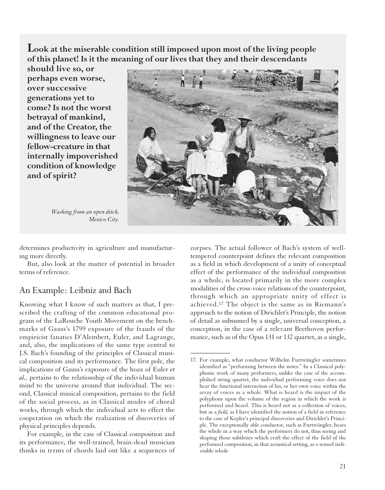**Look at the miserable condition still imposed upon most of the living people of this planet! Is it the meaning of our lives that they and their descendants**

**should live so, or perhaps even worse, over successive generations yet to come? Is not the worst betrayal of mankind, and of the Creator, the willingness to leave our fellow-creature in that internally impoverished condition of knowledge and of spirit?**

*Washing from an open ditch, Mexico City.*



 $\overline{\phantom{a}}$ 

determines productivity in agriculture and manufacturing more directly.

But, also look at the matter of potential in broader terms of reference.

#### An Example: Leibniz and Bach

Knowing what I know of such matters as that, I prescribed the crafting of the common educational program of the LaRouche Youth Movement on the benchmarks of Gauss's 1799 exposure of the frauds of the empiricist fanatics D'Alembert, Euler, and Lagrange, and, also, the implications of the same type central to J.S. Bach's founding of the principles of Classical musical composition and its performance. The first pole, the implications of Gauss's exposure of the hoax of Euler *et al.,* pertains to the relationship of the individual human mind to the universe around that individual. The second, Classical musical composition, pertains to the field of the social process, as in Classical modes of choral works, through which the individual acts to effect the cooperation on which the realization of discoveries of physical principles depends.

For example, in the case of Classical composition and its performance, the well-trained, brain-dead musician thinks in terms of chords laid out like a sequences of corpses. The actual follower of Bach's system of welltempered counterpoint defines the relevant composition as a field in which development of a unity of conceptual effect of the performance of the individual composition as a whole, is located primarily in the more complex modalities of the cross-voice relations of the counterpoint, through which an appropriate unity of effect is achieved.17 The object is the same as in Riemann's approach to the notion of Dirichlet's Principle, the notion of detail as subsumed by a single, universal conception, a conception, in the case of a relevant Beethoven performance, such as of the Opus 131 or 132 quartet, as a single,

<sup>17.</sup> For example, what conductor Wilhelm Furtwängler sometimes identified as "performing between the notes." In a Classical polyphonic work of many performers, unlike the case of the accomplished string quartet, the individual performing voice does not hear the functional interaction of his, or her own voice within the array of voices as a whole. What is heard is the impact of the polyphony upon the volume of the region in which the work is performed and heard. This is heard not as a collection of voices, but as a *field,* as I have identified the notion of a field in reference to the case of Kepler's principal discoveries and Dirichlet's Principle. The exceptionally able conductor, such as Furtwängler, hears the whole in a way which the performers do not, thus seeing and shaping those subtleties which craft the effect of the field of the performed composition, in that acoustical setting, as a sensed indivisible whole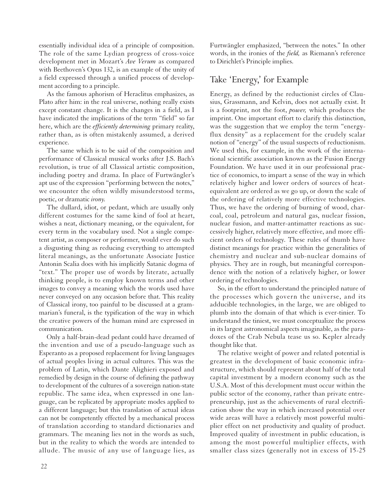essentially individual idea of a principle of composition. The role of the same Lydian progress of cross-voice development met in Mozart's *Ave Verum* as compared with Beethoven's Opus 132, is an example of the unity of a field expressed through a unified process of development according to a principle.

As the famous aphorism of Heraclitus emphasizes, as Plato after him: in the real universe, nothing really exists except constant change. It is the changes in a field, as I have indicated the implications of the term "field" so far here, which are the *efficiently determining* primary reality, rather than, as is often mistakenly assumed, a derived experience.

The same which is to be said of the composition and performance of Classical musical works after J.S. Bach's revolution, is true of all Classical artistic composition, including poetry and drama. In place of Furtwängler's apt use of the expression "performing between the notes," we encounter the often wildly misunderstood terms, poetic, or dramatic *irony.*

The dullard, idiot, or pedant, which are usually only different costumes for the same kind of fool at heart, wishes a neat, dictionary meaning, or the equivalent, for every term in the vocabulary used. Not a single competent artist, as composer or performer, would ever do such a disgusting thing as reducing everything to attempted literal meanings, as the unfortunate Associate Justice Antonin Scalia does with his implicitly Satanic dogma of "text." The proper use of words by literate, actually thinking people, is to employ known terms and other images to convey a meaning which the words used have never conveyed on any occasion before that. This reality of Classical irony, too painful to be discussed at a grammarian's funeral, is the typification of the way in which the creative powers of the human mind are expressed in communication.

Only a half-brain-dead pedant could have dreamed of the invention and use of a pseudo-language such as Esperanto as a proposed replacement for living languages of actual peoples living in actual cultures. This was the problem of Latin, which Dante Alighieri exposed and remedied by design in the course of defining the pathway to development of the cultures of a sovereign nation-state republic. The same idea, when expressed in one language, can be replicated by appropriate modes applied to a different language; but this translation of actual ideas can not be competently effected by a mechanical process of translation according to standard dictionaries and grammars. The meaning lies not in the words as such, but in the reality to which the words are intended to allude. The music of any use of language lies, as

Furtwängler emphasized, "between the notes." In other words, in the ironies of the *field,* as Riemann's reference to Dirichlet's Principle implies.

### Take 'Energy,' for Example

Energy, as defined by the reductionist circles of Clausius, Grassmann, and Kelvin, does not actually exist. It is a footprint, not the foot, *power,* which produces the imprint. One important effort to clarify this distinction, was the suggestion that we employ the term "energyflux density" as a replacement for the crudely scalar notion of "energy" of the usual suspects of reductionism. We used this, for example, in the work of the international scientific association known as the Fusion Energy Foundation. We have used it in our professional practice of economics, to impart a sense of the way in which relatively higher and lower orders of sources of heatequivalent are ordered as we go up, or down the scale of the ordering of relatively more effective technologies. Thus, we have the ordering of burning of wood, charcoal, coal, petroleum and natural gas, nuclear fission, nuclear fusion, and matter-antimatter reactions as successively higher, relatively more effective, and more efficient orders of technology. These rules of thumb have distinct meanings for practice within the generalities of chemistry and nuclear and sub-nuclear domains of physics. They are in rough, but meaningful correspondence with the notion of a relatively higher, or lower ordering of technologies.

So, in the effort to understand the principled nature of the processes which govern the universe, and its adducible technologies, in the large, we are obliged to plumb into the domain of that which is ever-tinier. To understand the tiniest, we must conceptualize the process in its largest astronomical aspects imaginable, as the paradoxes of the Crab Nebula tease us so. Kepler already thought like that.

The relative weight of power and related potential is greatest in the development of basic economic infrastructure, which should represent about half of the total capital investment by a modern economy such as the U.S.A. Most of this development must occur within the public sector of the economy, rather than private entrepreneurship, just as the achievements of rural electrification show the way in which increased potential over wide areas will have a relatively most powerful multiplier effect on net productivity and quality of product. Improved quality of investment in public education, is among the most powerful multiplier effects, with smaller class sizes (generally not in excess of 15-25